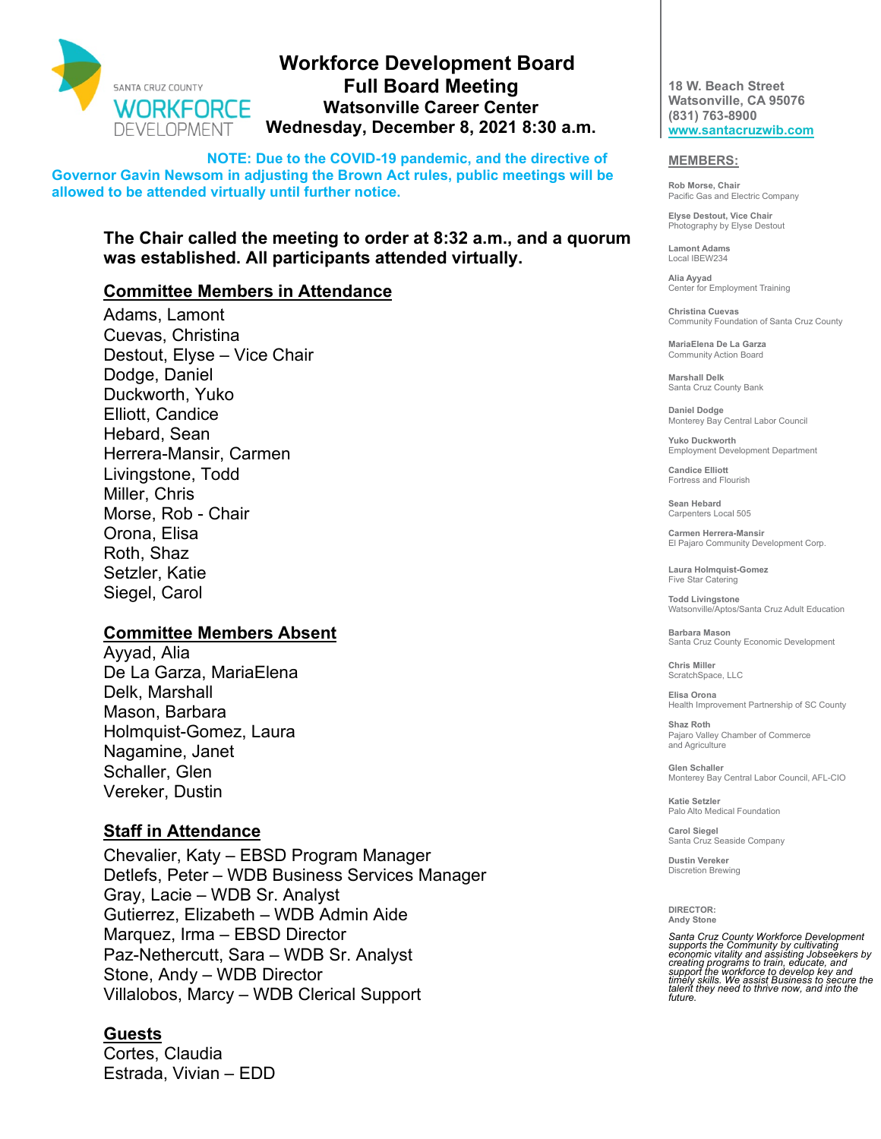

# **Workforce Development Board Full Board Meeting Watsonville Career Center Wednesday, December 8, 2021 8:30 a.m.**

**NOTE: Due to the COVID-19 pandemic, and the directive of Governor Gavin Newsom in adjusting the Brown Act rules, public meetings will be allowed to be attended virtually until further notice.** 

# **The Chair called the meeting to order at 8:32 a.m., and a quorum was established. All participants attended virtually.**

# **Committee Members in Attendance**

Adams, Lamont Cuevas, Christina Destout, Elyse – Vice Chair Dodge, Daniel Duckworth, Yuko Elliott, Candice Hebard, Sean Herrera-Mansir, Carmen Livingstone, Todd Miller, Chris Morse, Rob - Chair Orona, Elisa Roth, Shaz Setzler, Katie Siegel, Carol

#### **Committee Members Absent**

Ayyad, Alia De La Garza, MariaElena Delk, Marshall Mason, Barbara Holmquist-Gomez, Laura Nagamine, Janet Schaller, Glen Vereker, Dustin

# **Staff in Attendance**

Chevalier, Katy – EBSD Program Manager Detlefs, Peter – WDB Business Services Manager Gray, Lacie – WDB Sr. Analyst Gutierrez, Elizabeth – WDB Admin Aide Marquez, Irma – EBSD Director Paz-Nethercutt, Sara – WDB Sr. Analyst Stone, Andy – WDB Director Villalobos, Marcy – WDB Clerical Support

# **Guests**

Cortes, Claudia Estrada, Vivian – EDD

**18 W. Beach Street Watsonville, CA 95076 (831) 763-8900 [www.santacruzwib.com](http://www.santacruzwib.com/)**

#### **MEMBERS:**

**Rob Morse, Chair** Pacific Gas and Electric Company

**Elyse Destout, Vice Chair** Photography by Elyse Destout

**Lamont Adams** Local IBEW234

**Alia Ayyad** Center for Employment Training

**Christina Cuevas** Community Foundation of Santa Cruz County

**MariaElena De La Garza** Community Action Board

**Marshall Delk** Santa Cruz County Bank

**Daniel Dodge** Monterey Bay Central Labor Council

**Yuko Duckworth** Employment Development Department

**Candice Elliott** Fortress and Flourish

**Sean Hebard** Carpenters Local 505

**Carmen Herrera-Mansir** El Pajaro Community Development Corp.

**Laura Holmquist-Gomez** Five Star Catering

**Todd Livingstone** Watsonville/Aptos/Santa Cruz Adult Education

**Barbara Mason** Santa Cruz County Economic Development

**Chris Miller** ScratchSpace, LLC

**Elisa Orona** Health Improvement Partnership of SC County

**Shaz Roth** Pajaro Valley Chamber of Commerce and Agriculture

**Glen Schaller** Monterey Bay Central Labor Council, AFL-CIO

**Katie Setzler** Palo Alto Medical Foundation

**Carol Siegel** Santa Cruz Seaside Company

**Dustin Vereker** Discretion Brewing

**DIRECTOR: Andy Stone**

Santa Cruz County Workforce Development<br>supports the Community by cultivating<br>economic vitality and assisting Jobseekers by<br>creating programs to train, educate, and<br>support the workforce to develop key and<br>timely skills. W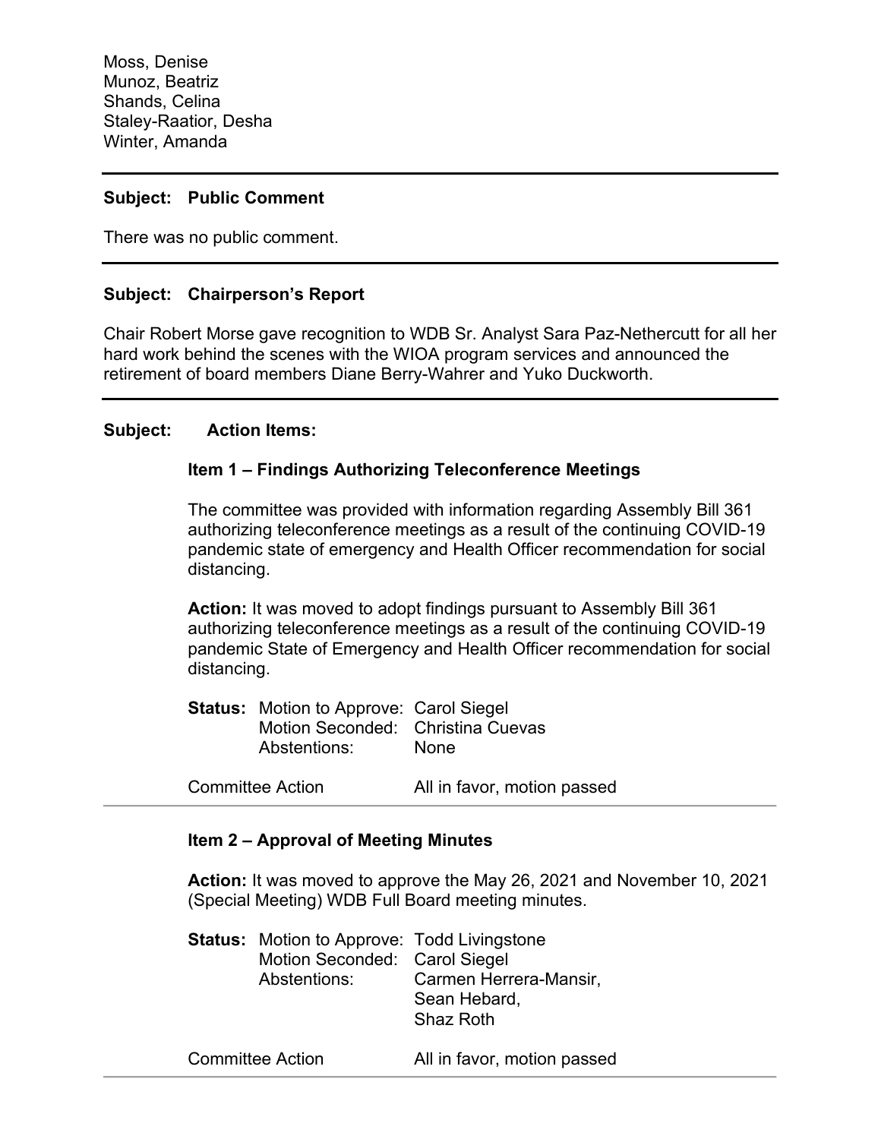Moss, Denise Munoz, Beatriz Shands, Celina Staley-Raatior, Desha Winter, Amanda

### **Subject: Public Comment**

There was no public comment.

### **Subject: Chairperson's Report**

Chair Robert Morse gave recognition to WDB Sr. Analyst Sara Paz-Nethercutt for all her hard work behind the scenes with the WIOA program services and announced the retirement of board members Diane Berry-Wahrer and Yuko Duckworth.

#### **Subject: Action Items:**

#### **Item 1 – Findings Authorizing Teleconference Meetings**

The committee was provided with information regarding Assembly Bill 361 authorizing teleconference meetings as a result of the continuing COVID-19 pandemic state of emergency and Health Officer recommendation for social distancing.

**Action:** It was moved to adopt findings pursuant to Assembly Bill 361 authorizing teleconference meetings as a result of the continuing COVID-19 pandemic State of Emergency and Health Officer recommendation for social distancing.

| <b>Status: Motion to Approve: Carol Siegel</b> |             |
|------------------------------------------------|-------------|
| Motion Seconded: Christina Cuevas              |             |
| Abstentions:                                   | <b>None</b> |

Committee Action All in favor, motion passed

### **Item 2 – Approval of Meeting Minutes**

**Action:** It was moved to approve the May 26, 2021 and November 10, 2021 (Special Meeting) WDB Full Board meeting minutes.

| <b>Status:</b> Motion to Approve: Todd Livingstone |                        |
|----------------------------------------------------|------------------------|
| Motion Seconded: Carol Siegel                      |                        |
| Abstentions:                                       | Carmen Herrera-Mansir, |
|                                                    | Sean Hebard,           |
|                                                    | Shaz Roth              |
|                                                    |                        |

Committee Action All in favor, motion passed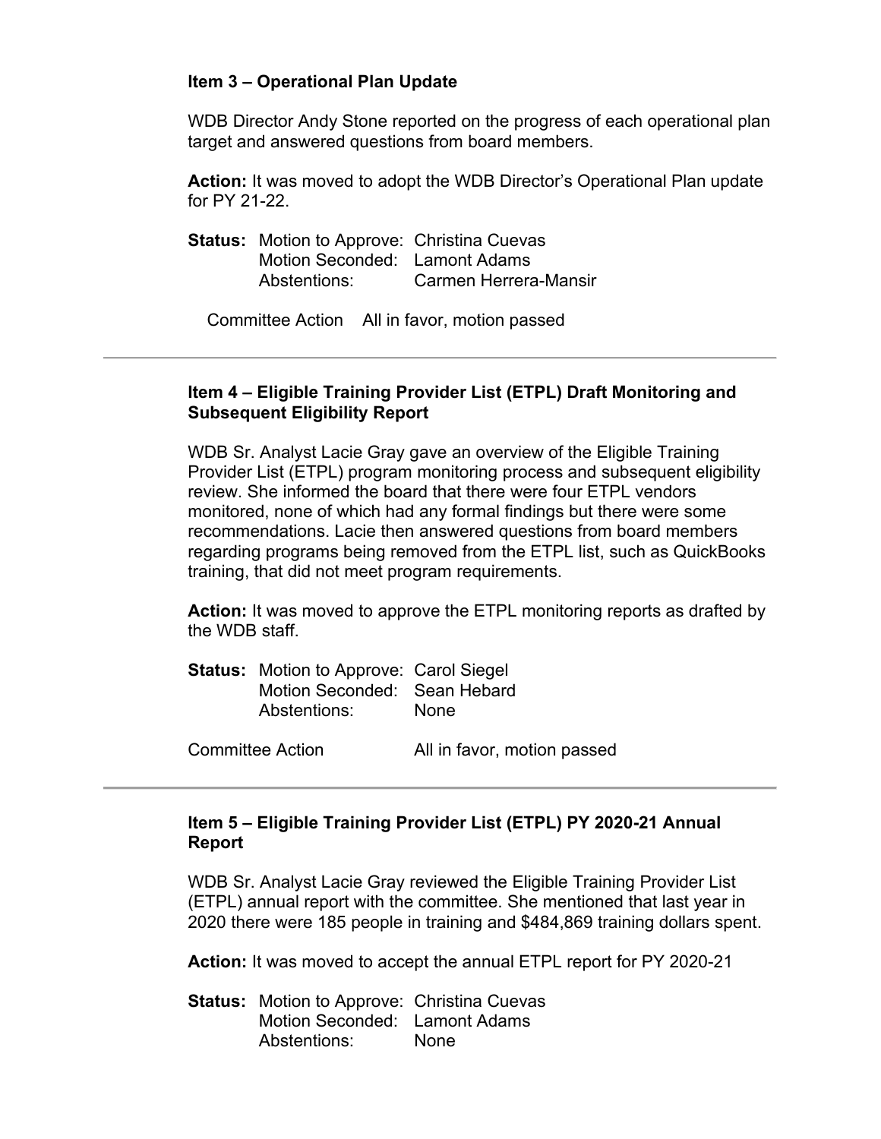# **Item 3 – Operational Plan Update**

WDB Director Andy Stone reported on the progress of each operational plan target and answered questions from board members.

**Action:** It was moved to adopt the WDB Director's Operational Plan update for PY 21-22.

| <b>Status:</b> Motion to Approve: Christina Cuevas |                       |
|----------------------------------------------------|-----------------------|
| Motion Seconded: Lamont Adams                      |                       |
| Abstentions:                                       | Carmen Herrera-Mansir |

Committee Action All in favor, motion passed

# **Item 4 – Eligible Training Provider List (ETPL) Draft Monitoring and Subsequent Eligibility Report**

WDB Sr. Analyst Lacie Gray gave an overview of the Eligible Training Provider List (ETPL) program monitoring process and subsequent eligibility review. She informed the board that there were four ETPL vendors monitored, none of which had any formal findings but there were some recommendations. Lacie then answered questions from board members regarding programs being removed from the ETPL list, such as QuickBooks training, that did not meet program requirements.

**Action:** It was moved to approve the ETPL monitoring reports as drafted by the WDB staff.

| <b>Status:</b> Motion to Approve: Carol Siegel |      |
|------------------------------------------------|------|
| Motion Seconded: Sean Hebard                   |      |
| Abstentions:                                   | None |

Committee Action All in favor, motion passed

# **Item 5 – Eligible Training Provider List (ETPL) PY 2020-21 Annual Report**

WDB Sr. Analyst Lacie Gray reviewed the Eligible Training Provider List (ETPL) annual report with the committee. She mentioned that last year in 2020 there were 185 people in training and \$484,869 training dollars spent.

**Action:** It was moved to accept the annual ETPL report for PY 2020-21

**Status:** Motion to Approve: Christina Cuevas Motion Seconded: Lamont Adams Abstentions: None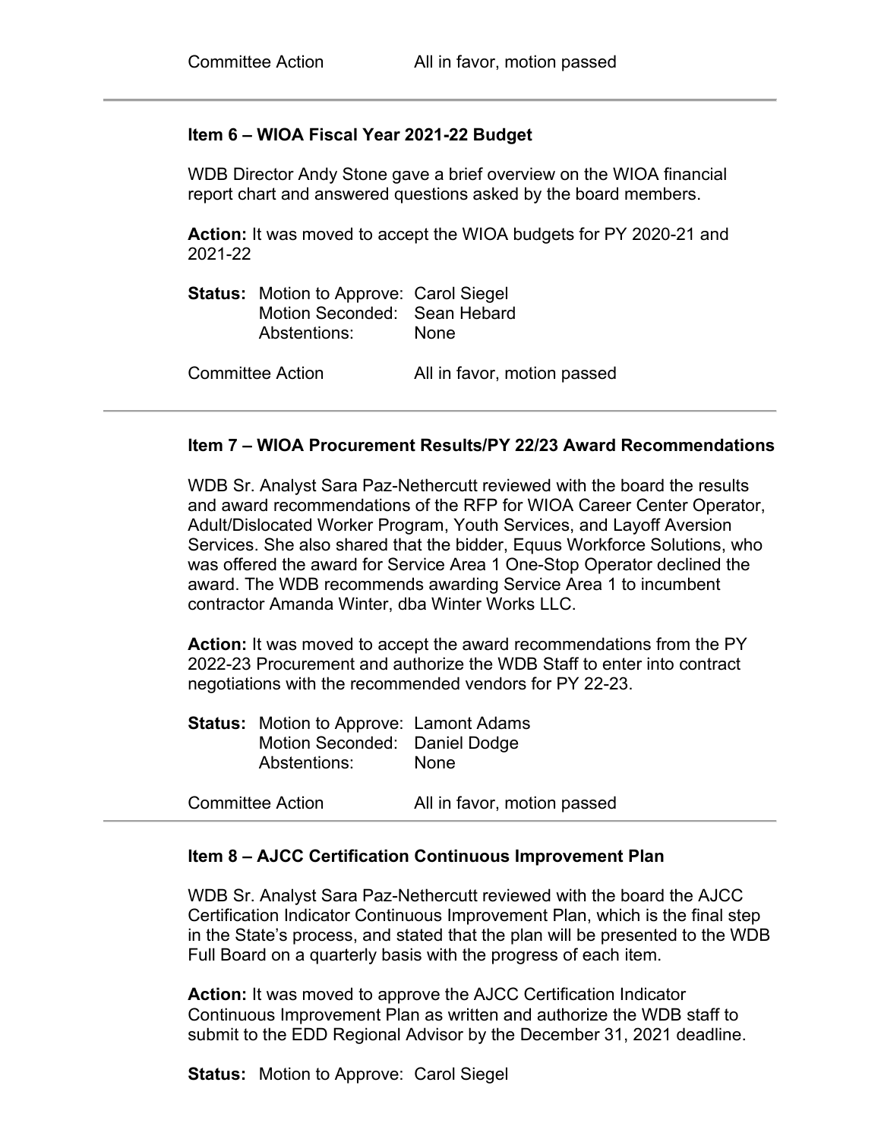### **Item 6 – WIOA Fiscal Year 2021-22 Budget**

WDB Director Andy Stone gave a brief overview on the WIOA financial report chart and answered questions asked by the board members.

**Action:** It was moved to accept the WIOA budgets for PY 2020-21 and 2021-22

| <b>Status:</b> Motion to Approve: Carol Siegel<br>Motion Seconded: Sean Hebard<br>Abstentions: | <b>None</b>                 |
|------------------------------------------------------------------------------------------------|-----------------------------|
| Committee Action                                                                               | All in favor, motion passed |

#### **Item 7 – WIOA Procurement Results/PY 22/23 Award Recommendations**

WDB Sr. Analyst Sara Paz-Nethercutt reviewed with the board the results and award recommendations of the RFP for WIOA Career Center Operator, Adult/Dislocated Worker Program, Youth Services, and Layoff Aversion Services. She also shared that the bidder, Equus Workforce Solutions, who was offered the award for Service Area 1 One-Stop Operator declined the award. The WDB recommends awarding Service Area 1 to incumbent contractor Amanda Winter, dba Winter Works LLC.

**Action:** It was moved to accept the award recommendations from the PY 2022-23 Procurement and authorize the WDB Staff to enter into contract negotiations with the recommended vendors for PY 22-23.

| <b>Status:</b> Motion to Approve: Lamont Adams |             |
|------------------------------------------------|-------------|
| Motion Seconded: Daniel Dodge                  |             |
| Abstentions:                                   | <b>None</b> |
|                                                |             |

Committee Action All in favor, motion passed

#### **Item 8 – AJCC Certification Continuous Improvement Plan**

WDB Sr. Analyst Sara Paz-Nethercutt reviewed with the board the AJCC Certification Indicator Continuous Improvement Plan, which is the final step in the State's process, and stated that the plan will be presented to the WDB Full Board on a quarterly basis with the progress of each item.

**Action:** It was moved to approve the AJCC Certification Indicator Continuous Improvement Plan as written and authorize the WDB staff to submit to the EDD Regional Advisor by the December 31, 2021 deadline.

**Status:** Motion to Approve: Carol Siegel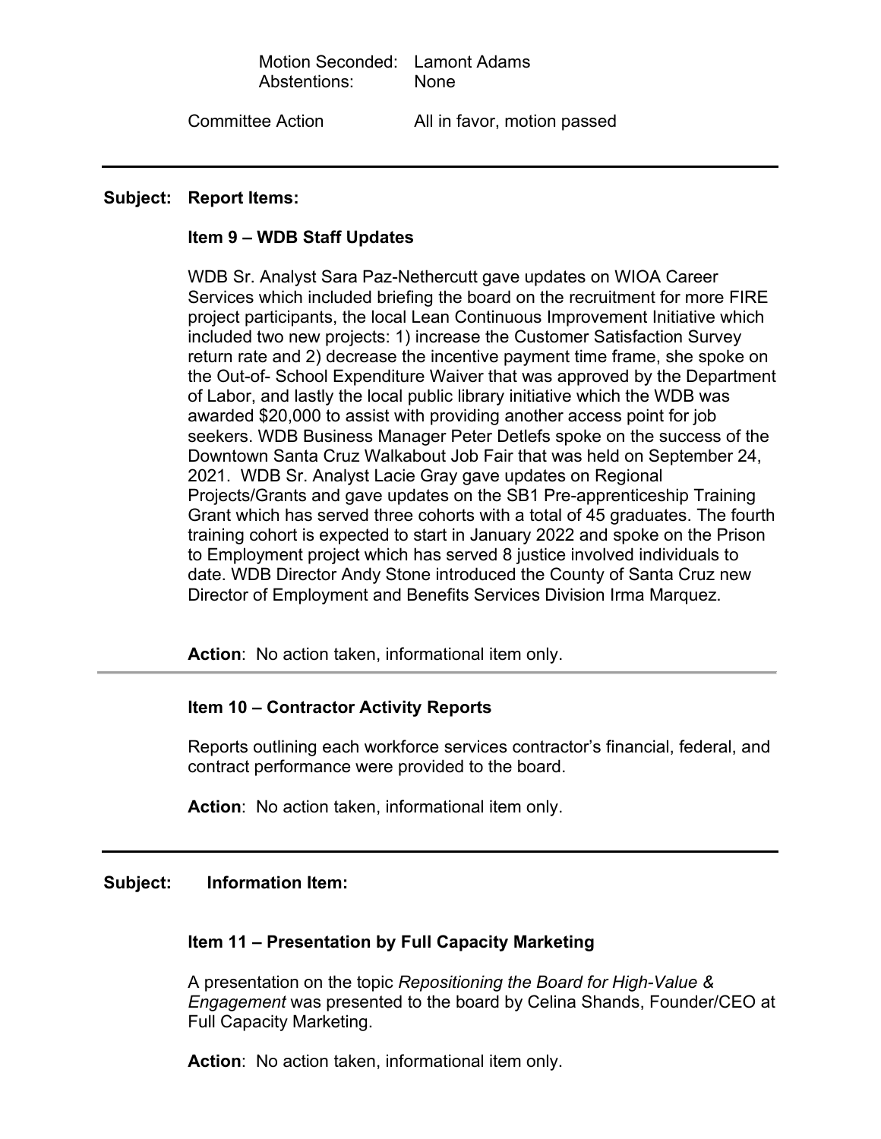# Motion Seconded: Lamont Adams Abstentions: None

Committee Action All in favor, motion passed

#### **Subject: Report Items:**

#### **Item 9 – WDB Staff Updates**

WDB Sr. Analyst Sara Paz-Nethercutt gave updates on WIOA Career Services which included briefing the board on the recruitment for more FIRE project participants, the local Lean Continuous Improvement Initiative which included two new projects: 1) increase the Customer Satisfaction Survey return rate and 2) decrease the incentive payment time frame, she spoke on the Out-of- School Expenditure Waiver that was approved by the Department of Labor, and lastly the local public library initiative which the WDB was awarded \$20,000 to assist with providing another access point for job seekers. WDB Business Manager Peter Detlefs spoke on the success of the Downtown Santa Cruz Walkabout Job Fair that was held on September 24, 2021. WDB Sr. Analyst Lacie Gray gave updates on Regional Projects/Grants and gave updates on the SB1 Pre-apprenticeship Training Grant which has served three cohorts with a total of 45 graduates. The fourth training cohort is expected to start in January 2022 and spoke on the Prison to Employment project which has served 8 justice involved individuals to date. WDB Director Andy Stone introduced the County of Santa Cruz new Director of Employment and Benefits Services Division Irma Marquez.

**Action**: No action taken, informational item only.

# **Item 10 – Contractor Activity Reports**

Reports outlining each workforce services contractor's financial, federal, and contract performance were provided to the board.

**Action**: No action taken, informational item only.

#### **Subject: Information Item:**

# **Item 11 – Presentation by Full Capacity Marketing**

A presentation on the topic *Repositioning the Board for High-Value & Engagement* was presented to the board by Celina Shands, Founder/CEO at Full Capacity Marketing.

**Action**: No action taken, informational item only.